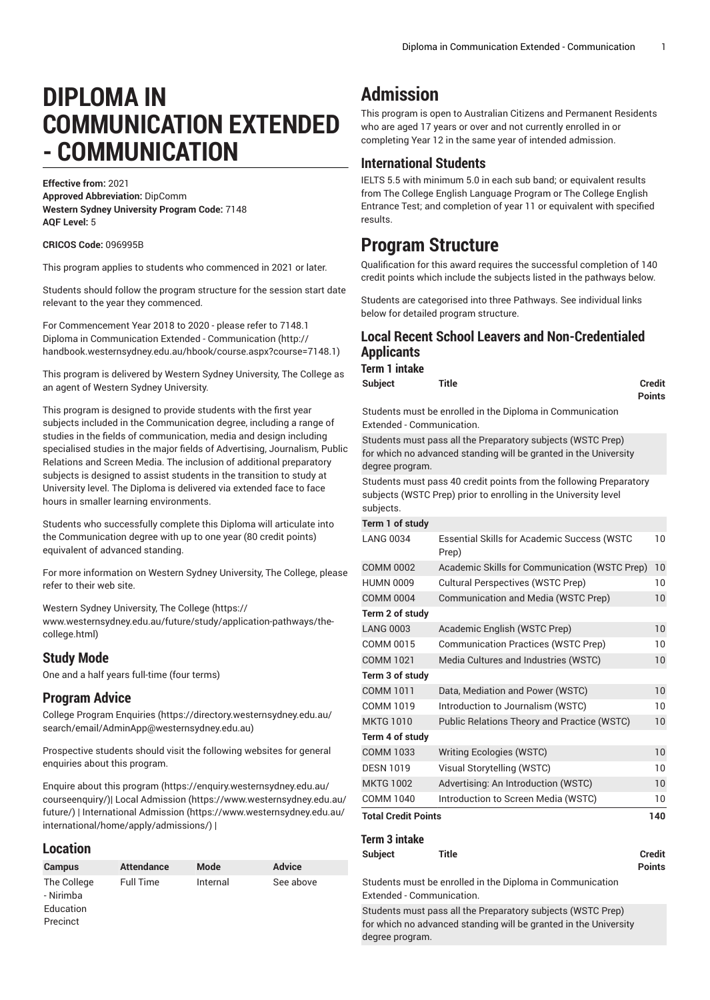# **DIPLOMA IN COMMUNICATION EXTENDED - COMMUNICATION**

**Effective from:** 2021 **Approved Abbreviation:** DipComm **Western Sydney University Program Code:** 7148 **AQF Level:** 5

**CRICOS Code:** 096995B

This program applies to students who commenced in 2021 or later.

Students should follow the program structure for the session start date relevant to the year they commenced.

For [Commencement](http://handbook.westernsydney.edu.au/hbook/course.aspx?course=7148.1) Year 2018 to 2020 - please refer to 7148.1 [Diploma in Communication Extended - Communication](http://handbook.westernsydney.edu.au/hbook/course.aspx?course=7148.1) ([http://](http://handbook.westernsydney.edu.au/hbook/course.aspx?course=7148.1) [handbook.westernsydney.edu.au/hbook/course.aspx?course=7148.1\)](http://handbook.westernsydney.edu.au/hbook/course.aspx?course=7148.1)

This program is delivered by Western Sydney University, The College as an agent of Western Sydney University.

This program is designed to provide students with the first year subjects included in the Communication degree, including a range of studies in the fields of communication, media and design including specialised studies in the major fields of Advertising, Journalism, Public Relations and Screen Media. The inclusion of additional preparatory subjects is designed to assist students in the transition to study at University level. The Diploma is delivered via extended face to face hours in smaller learning environments.

Students who successfully complete this Diploma will articulate into the Communication degree with up to one year (80 credit points) equivalent of advanced standing.

For more information on Western Sydney University, The College, please refer to their web site.

Western Sydney [University,](https://www.westernsydney.edu.au/future/study/application-pathways/the-college.html) The College [\(https://](https://www.westernsydney.edu.au/future/study/application-pathways/the-college.html) [www.westernsydney.edu.au/future/study/application-pathways/the](https://www.westernsydney.edu.au/future/study/application-pathways/the-college.html)[college.html](https://www.westernsydney.edu.au/future/study/application-pathways/the-college.html))

## **Study Mode**

One and a half years full-time (four terms)

## **Program Advice**

College Program [Enquiries](https://directory.westernsydney.edu.au/search/email/AdminApp@westernsydney.edu.au) ([https://directory.westernsydney.edu.au/](https://directory.westernsydney.edu.au/search/email/AdminApp@westernsydney.edu.au) [search/email/AdminApp@westernsydney.edu.au](https://directory.westernsydney.edu.au/search/email/AdminApp@westernsydney.edu.au))

Prospective students should visit the following websites for general enquiries about this program.

Enquire about this [program \(https://enquiry.westernsydney.edu.au/](https://enquiry.westernsydney.edu.au/courseenquiry/) [courseenquiry/](https://enquiry.westernsydney.edu.au/courseenquiry/))| [Local Admission \(https://www.westernsydney.edu.au/](https://www.westernsydney.edu.au/future/) [future/\)](https://www.westernsydney.edu.au/future/) | [International Admission](https://www.westernsydney.edu.au/international/home/apply/admissions/) ([https://www.westernsydney.edu.au/](https://www.westernsydney.edu.au/international/home/apply/admissions/) [international/home/apply/admissions/](https://www.westernsydney.edu.au/international/home/apply/admissions/)) |

#### **Location**

| <b>Campus</b>                                     | <b>Attendance</b> | Mode     | <b>Advice</b> |
|---------------------------------------------------|-------------------|----------|---------------|
| The College<br>- Nirimba<br>Education<br>Precinct | <b>Full Time</b>  | Internal | See above     |

## **Admission**

This program is open to Australian Citizens and Permanent Residents who are aged 17 years or over and not currently enrolled in or completing Year 12 in the same year of intended admission.

## **International Students**

IELTS 5.5 with minimum 5.0 in each sub band; or equivalent results from The College English Language Program or The College English Entrance Test; and completion of year 11 or equivalent with specified results.

## **Program Structure**

Qualification for this award requires the successful completion of 140 credit points which include the subjects listed in the pathways below.

Students are categorised into three Pathways. See individual links below for detailed program structure.

## **Local Recent School Leavers and Non-Credentialed Applicants Term 1 intake**

| <b>Subject</b> | <b>Title</b> | <b>Credit</b> |
|----------------|--------------|---------------|
|                |              | <b>Points</b> |

Students must be enrolled in the Diploma in Communication Extended - Communication.

Students must pass all the Preparatory subjects (WSTC Prep) for which no advanced standing will be granted in the University degree program.

Students must pass 40 credit points from the following Preparatory subjects (WSTC Prep) prior to enrolling in the University level subjects.

#### **Term 1 of study**

| <b>Essential Skills for Academic Success (WSTC</b><br>Prep) | 10 |  |
|-------------------------------------------------------------|----|--|
| Academic Skills for Communication (WSTC Prep)               | 10 |  |
| <b>Cultural Perspectives (WSTC Prep)</b>                    | 10 |  |
| Communication and Media (WSTC Prep)                         | 10 |  |
|                                                             |    |  |
| Academic English (WSTC Prep)                                | 10 |  |
| Communication Practices (WSTC Prep)                         | 10 |  |
| Media Cultures and Industries (WSTC)                        | 10 |  |
|                                                             |    |  |
| Data, Mediation and Power (WSTC)                            | 10 |  |
| Introduction to Journalism (WSTC)                           | 10 |  |
| Public Relations Theory and Practice (WSTC)                 | 10 |  |
|                                                             |    |  |
| <b>Writing Ecologies (WSTC)</b>                             | 10 |  |
| Visual Storytelling (WSTC)                                  | 10 |  |
| Advertising: An Introduction (WSTC)                         | 10 |  |
| Introduction to Screen Media (WSTC)                         | 10 |  |
| <b>Total Credit Points</b>                                  |    |  |
|                                                             |    |  |

## **Term 3 intake**

**Subject Title Credit**

Students must be enrolled in the Diploma in Communication Extended - Communication.

**Points**

Students must pass all the Preparatory subjects (WSTC Prep) for which no advanced standing will be granted in the University degree program.